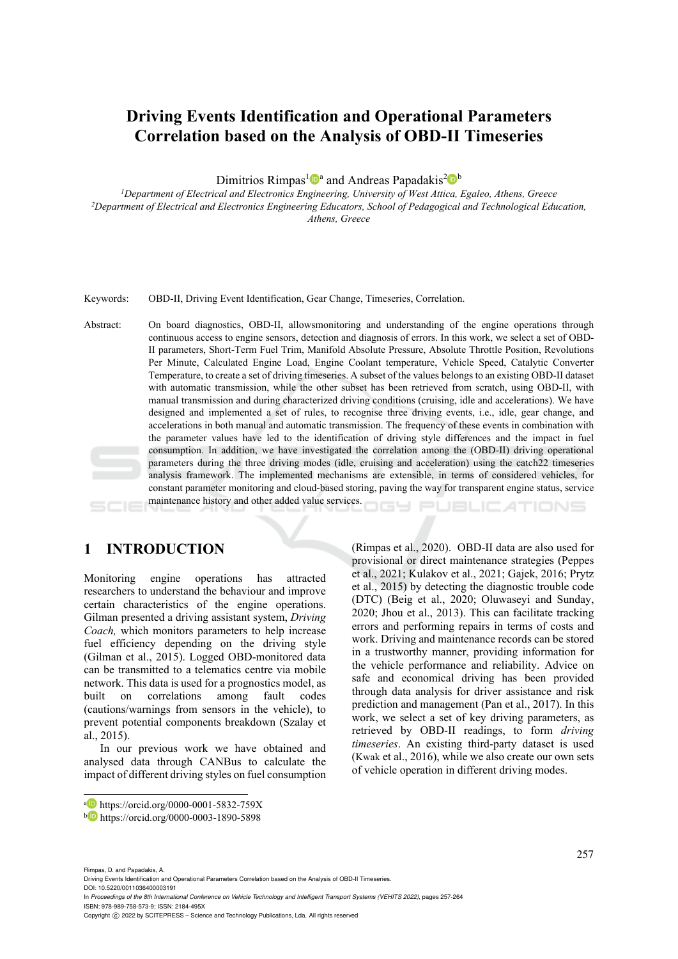# **Driving Events Identification and Operational Parameters Correlation based on the Analysis of OBD-II Timeseries**

Dimitrios Rimpas<sup>1</sup><sup>®</sup> and Andreas Papadakis<sup>2</sup><sup>®</sup> b<br><sup>1</sup>Department of Electrical and Electronics Engineering, University of West Attica, Egaleo, Athens, Greece <sup>2</sup>Department of Electrical and Electronics Engineering Educators, School of Pedagogical and Technological Education, *Athens, Greece* 

Keywords: OBD-II, Driving Event Identification, Gear Change, Timeseries, Correlation.

Abstract: On board diagnostics, OBD-II, allowsmonitoring and understanding of the engine operations through continuous access to engine sensors, detection and diagnosis of errors. In this work, we select a set of OBD-II parameters, Short-Term Fuel Trim, Manifold Absolute Pressure, Absolute Throttle Position, Revolutions Per Minute, Calculated Engine Load, Engine Coolant temperature, Vehicle Speed, Catalytic Converter Temperature, to create a set of driving timeseries. A subset of the values belongs to an existing OBD-II dataset with automatic transmission, while the other subset has been retrieved from scratch, using OBD-II, with manual transmission and during characterized driving conditions (cruising, idle and accelerations). We have designed and implemented a set of rules, to recognise three driving events, i.e., idle, gear change, and accelerations in both manual and automatic transmission. The frequency of these events in combination with the parameter values have led to the identification of driving style differences and the impact in fuel consumption. In addition, we have investigated the correlation among the (OBD-II) driving operational parameters during the three driving modes (idle, cruising and acceleration) using the catch22 timeseries analysis framework. The implemented mechanisms are extensible, in terms of considered vehicles, for constant parameter monitoring and cloud-based storing, paving the way for transparent engine status, service maintenance history and other added value services.

# **1 INTRODUCTION**

Monitoring engine operations has attracted researchers to understand the behaviour and improve certain characteristics of the engine operations. Gilman presented a driving assistant system, *Driving Coach,* which monitors parameters to help increase fuel efficiency depending on the driving style (Gilman et al., 2015). Logged OBD-monitored data can be transmitted to a telematics centre via mobile network. This data is used for a prognostics model, as built on correlations among fault codes (cautions/warnings from sensors in the vehicle), to prevent potential components breakdown (Szalay et al., 2015).

In our previous work we have obtained and analysed data through CANBus to calculate the impact of different driving styles on fuel consumption

(Rimpas et al., 2020). OBD-II data are also used for provisional or direct maintenance strategies (Peppes et al., 2021; Kulakov et al., 2021; Gajek, 2016; Prytz et al., 2015) by detecting the diagnostic trouble code (DTC) (Beig et al., 2020; Oluwaseyi and Sunday, 2020; Jhou et al., 2013). This can facilitate tracking errors and performing repairs in terms of costs and work. Driving and maintenance records can be stored in a trustworthy manner, providing information for the vehicle performance and reliability. Advice on safe and economical driving has been provided through data analysis for driver assistance and risk prediction and management (Pan et al., 2017). In this work, we select a set of key driving parameters, as retrieved by OBD-II readings, to form *driving timeseries*. An existing third-party dataset is used (Kwak et al., 2016), while we also create our own sets of vehicle operation in different driving modes.

ATIONS

Rimpas, D. and Papadakis, A.

Driving Events Identification and Operational Parameters Correlation based on the Analysis of OBD-II Timeseries.

DOI: 10.5220/0011036400003191 In *Proceedings of the 8th International Conference on Vehicle Technology and Intelligent Transport Systems (VEHITS 2022)*, pages 257-264 ISBN: 978-989-758-573-9; ISSN: 2184-495X

a https://orcid.org/0000-0001-5832-759X<br>b https://orcid.org/0000-0003-1890-5898

Copyright (C) 2022 by SCITEPRESS - Science and Technology Publications, Lda. All rights reserved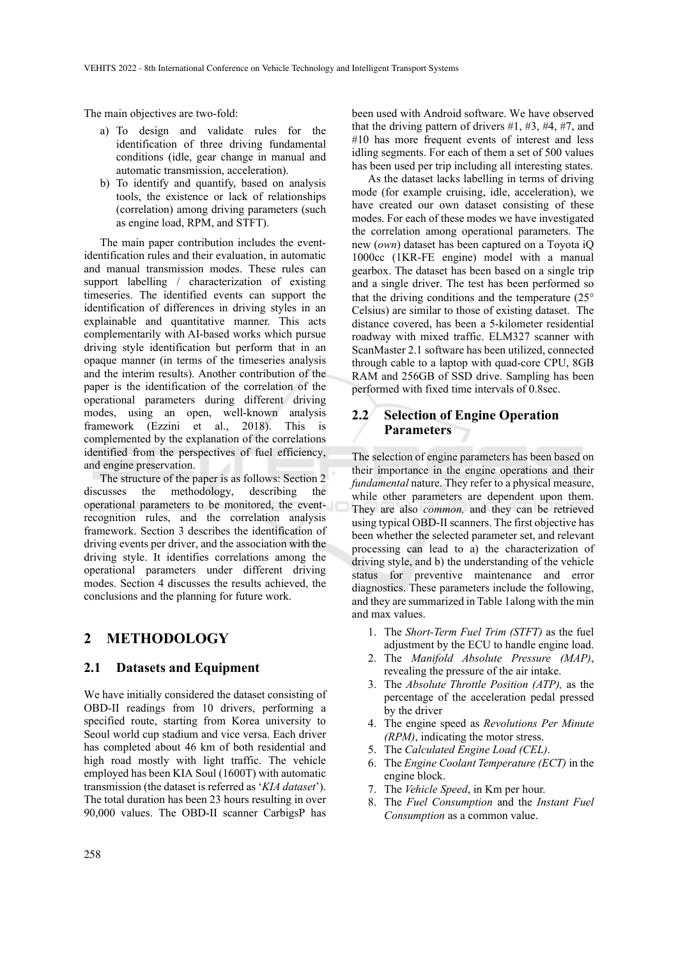The main objectives are two-fold:

- a) To design and validate rules for the identification of three driving fundamental conditions (idle, gear change in manual and automatic transmission, acceleration).
- b) To identify and quantify, based on analysis tools, the existence or lack of relationships (correlation) among driving parameters (such as engine load, RPM, and STFT).

The main paper contribution includes the eventidentification rules and their evaluation, in automatic and manual transmission modes. These rules can support labelling / characterization of existing timeseries. The identified events can support the identification of differences in driving styles in an explainable and quantitative manner. This acts complementarily with AI-based works which pursue driving style identification but perform that in an opaque manner (in terms of the timeseries analysis and the interim results). Another contribution of the paper is the identification of the correlation of the operational parameters during different driving modes, using an open, well-known analysis framework (Ezzini et al., 2018). This is complemented by the explanation of the correlations identified from the perspectives of fuel efficiency, and engine preservation.

The structure of the paper is as follows: Section 2 discusses the methodology, describing the operational parameters to be monitored, the eventrecognition rules, and the correlation analysis framework. Section 3 describes the identification of driving events per driver, and the association with the driving style. It identifies correlations among the operational parameters under different driving modes. Section 4 discusses the results achieved, the conclusions and the planning for future work.

# **2 METHODOLOGY**

### **2.1 Datasets and Equipment**

We have initially considered the dataset consisting of OBD-II readings from 10 drivers, performing a specified route, starting from Korea university to Seoul world cup stadium and vice versa. Each driver has completed about 46 km of both residential and high road mostly with light traffic. The vehicle employed has been KIA Soul (1600T) with automatic transmission (the dataset is referred as '*KIA dataset*'). The total duration has been 23 hours resulting in over 90,000 values. The OBD-II scanner CarbigsP has

been used with Android software. We have observed that the driving pattern of drivers  $#1, #3, #4, #7$ , and #10 has more frequent events of interest and less idling segments. For each of them a set of 500 values has been used per trip including all interesting states.

As the dataset lacks labelling in terms of driving mode (for example cruising, idle, acceleration), we have created our own dataset consisting of these modes. For each of these modes we have investigated the correlation among operational parameters. The new (*own*) dataset has been captured on a Toyota iQ 1000cc (1KR-FE engine) model with a manual gearbox. The dataset has been based on a single trip and a single driver. The test has been performed so that the driving conditions and the temperature  $(25^{\circ})$ Celsius) are similar to those of existing dataset. The distance covered, has been a 5-kilometer residential roadway with mixed traffic. ELM327 scanner with ScanMaster 2.1 software has been utilized, connected through cable to a laptop with quad-core CPU, 8GB RAM and 256GB of SSD drive. Sampling has been performed with fixed time intervals of 0.8sec.

## **2.2 Selection of Engine Operation Parameters**

The selection of engine parameters has been based on their importance in the engine operations and their *fundamental* nature. They refer to a physical measure, while other parameters are dependent upon them. They are also *common,* and they can be retrieved using typical OBD-II scanners. The first objective has been whether the selected parameter set, and relevant processing can lead to a) the characterization of driving style, and b) the understanding of the vehicle status for preventive maintenance and error diagnostics. These parameters include the following, and they are summarized in Table 1along with the min and max values.

- 1. The *Short-Term Fuel Trim (STFT)* as the fuel adjustment by the ECU to handle engine load.
- 2. The *Manifold Absolute Pressure (MAP)*, revealing the pressure of the air intake.
- 3. The *Absolute Throttle Position (ATP),* as the percentage of the acceleration pedal pressed by the driver
- 4. The engine speed as *Revolutions Per Minute (RPM)*, indicating the motor stress.
- 5. The *Calculated Engine Load (CEL)*.
- 6. The *Engine Coolant Temperature (ECT)* in the engine block.
- 7. The *Vehicle Speed*, in Km per hour.
- 8. The *Fuel Consumption* and the *Instant Fuel Consumption* as a common value.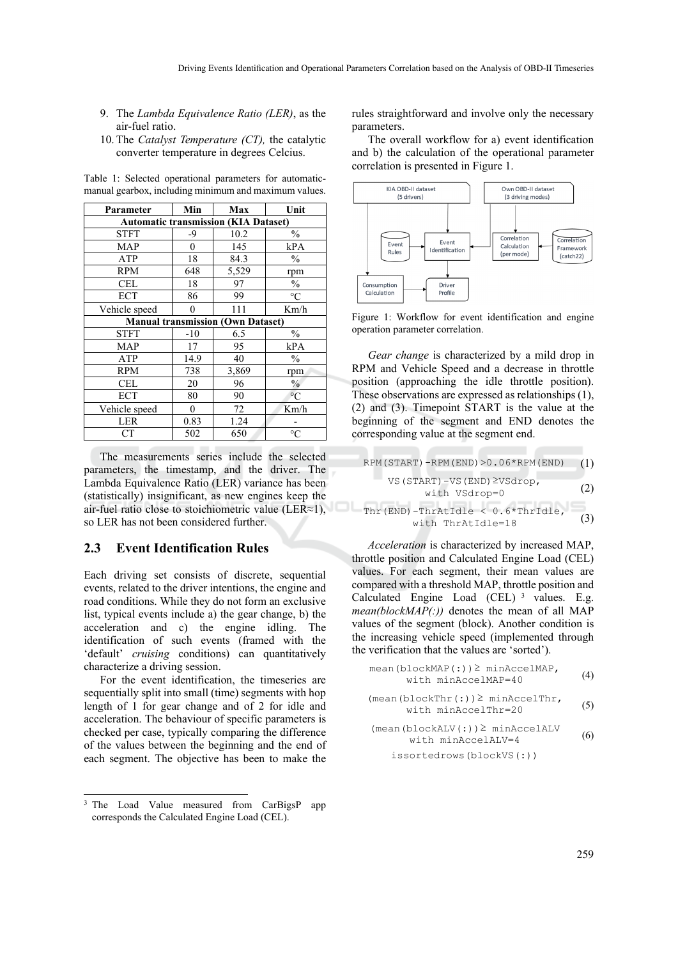- 9. The *Lambda Equivalence Ratio (LER)*, as the air-fuel ratio.
- 10. The *Catalyst Temperature (CT),* the catalytic converter temperature in degrees Celcius.

| Parameter                                   | Min                                      | Max   | Unit            |  |  |  |  |
|---------------------------------------------|------------------------------------------|-------|-----------------|--|--|--|--|
| <b>Automatic transmission (KIA Dataset)</b> |                                          |       |                 |  |  |  |  |
| <b>STFT</b>                                 | -9                                       | 10.2  | $\frac{0}{0}$   |  |  |  |  |
| <b>MAP</b>                                  | 0                                        | 145   | kPA             |  |  |  |  |
| ATP                                         | 18                                       | 84.3  | $\frac{0}{0}$   |  |  |  |  |
| <b>RPM</b>                                  | 648                                      | 5,529 | rpm             |  |  |  |  |
| CEL                                         | 18                                       | 97    | $\frac{0}{0}$   |  |  |  |  |
| <b>ECT</b>                                  | 86                                       | 99    | $\rm ^{\circ}C$ |  |  |  |  |
| Vehicle speed                               | 0                                        | 111   | Km/h            |  |  |  |  |
|                                             | <b>Manual transmission (Own Dataset)</b> |       |                 |  |  |  |  |
| <b>STFT</b>                                 | $-10$                                    | 6.5   | $\frac{0}{0}$   |  |  |  |  |
| <b>MAP</b>                                  | 17                                       | 95    | kPA             |  |  |  |  |
| ATP                                         | 14.9                                     | 40    | $\frac{0}{0}$   |  |  |  |  |
| <b>RPM</b>                                  | 738                                      | 3,869 | rpm             |  |  |  |  |
| CEL                                         | 20                                       | 96    | $\frac{0}{0}$   |  |  |  |  |
| <b>ECT</b>                                  | 80                                       | 90    | $\circ$ C       |  |  |  |  |
| Vehicle speed                               | 0                                        | 72    | Km/h            |  |  |  |  |
| LER                                         | 0.83                                     | 1.24  |                 |  |  |  |  |
| CT                                          | 502                                      | 650   | $\rm ^{\circ}C$ |  |  |  |  |

Table 1: Selected operational parameters for automaticmanual gearbox, including minimum and maximum values.

The measurements series include the selected parameters, the timestamp, and the driver. The Lambda Equivalence Ratio (LER) variance has been (statistically) insignificant, as new engines keep the air-fuel ratio close to stoichiometric value (LER≈1), so LER has not been considered further.

### **2.3 Event Identification Rules**

Each driving set consists of discrete, sequential events, related to the driver intentions, the engine and road conditions. While they do not form an exclusive list, typical events include a) the gear change, b) the acceleration and c) the engine idling. The identification of such events (framed with the 'default' *cruising* conditions) can quantitatively characterize a driving session.

For the event identification, the timeseries are sequentially split into small (time) segments with hop length of 1 for gear change and of 2 for idle and acceleration. The behaviour of specific parameters is checked per case, typically comparing the difference of the values between the beginning and the end of each segment. The objective has been to make the rules straightforward and involve only the necessary parameters.

The overall workflow for a) event identification and b) the calculation of the operational parameter correlation is presented in Figure 1.



Figure 1: Workflow for event identification and engine operation parameter correlation.

*Gear change* is characterized by a mild drop in RPM and Vehicle Speed and a decrease in throttle position (approaching the idle throttle position). These observations are expressed as relationships (1), (2) and (3). Timepoint START is the value at the beginning of the segment and END denotes the corresponding value at the segment end.

$$
RPM(START) - RPM(END) > 0.06*RPM(END) \qquad (1)
$$
\n
$$
VS (START) - VS (END) \geq VS drop,
$$
\n
$$
with VSGrop = 0 \qquad (2)
$$
\n
$$
Thr (END) - ThrAtIdle < 0.6* ThrIdle, \qquad (3)
$$
\n
$$
with ThrAtIdle = 18 \qquad (3)
$$

*Acceleration* is characterized by increased MAP, throttle position and Calculated Engine Load (CEL) values. For each segment, their mean values are compared with a threshold MAP, throttle position and Calculated Engine Load (CEL) 3 values. E.g. *mean(blockMAP(:))* denotes the mean of all MAP values of the segment (block). Another condition is the increasing vehicle speed (implemented through the verification that the values are 'sorted').

$$
\text{mean}(\text{blockMAP}(:,)) \geq \text{minAccelMAP}, \qquad (4)
$$
\n
$$
\text{with } \text{minAccelMAP} = 40
$$

$$
(\text{mean }(\text{blockThr}(:)) \geq \text{minAccellThr},
$$
  
with minAccellThr=20 (5)

$$
(\text{mean}(\text{blockALV}(:)) \geq \text{minAccelALV} \tag{6}
$$

issortedrows(blockVS(:))

<sup>&</sup>lt;sup>3</sup> The Load Value measured from CarBigsP app corresponds the Calculated Engine Load (CEL).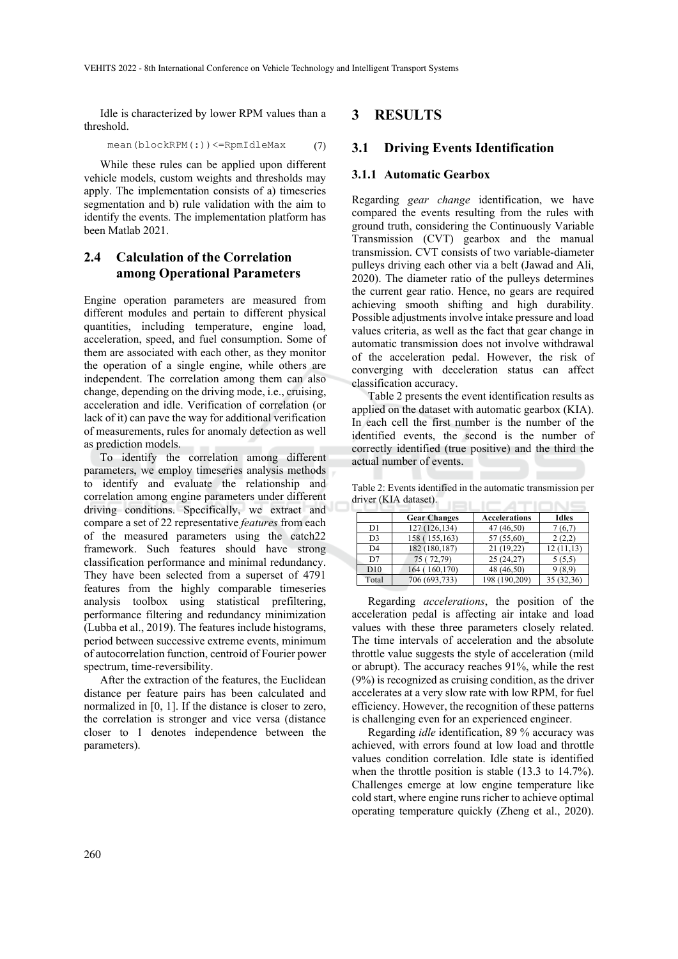Idle is characterized by lower RPM values than a threshold.

$$
\text{mean}(\text{blockRPM}(:)) \leq \text{RpmIdleMax} \tag{7}
$$

While these rules can be applied upon different vehicle models, custom weights and thresholds may apply. The implementation consists of a) timeseries segmentation and b) rule validation with the aim to identify the events. The implementation platform has been Matlab 2021.

# **2.4 Calculation of the Correlation among Operational Parameters**

Engine operation parameters are measured from different modules and pertain to different physical quantities, including temperature, engine load, acceleration, speed, and fuel consumption. Some of them are associated with each other, as they monitor the operation of a single engine, while others are independent. The correlation among them can also change, depending on the driving mode, i.e., cruising, acceleration and idle. Verification of correlation (or lack of it) can pave the way for additional verification of measurements, rules for anomaly detection as well as prediction models.

To identify the correlation among different parameters, we employ timeseries analysis methods to identify and evaluate the relationship and correlation among engine parameters under different driving conditions. Specifically, we extract and compare a set of 22 representative *features* from each of the measured parameters using the catch22 framework. Such features should have strong classification performance and minimal redundancy. They have been selected from a superset of 4791 features from the highly comparable timeseries analysis toolbox using statistical prefiltering, performance filtering and redundancy minimization (Lubba et al., 2019). The features include histograms, period between successive extreme events, minimum of autocorrelation function, centroid of Fourier power spectrum, time-reversibility.

After the extraction of the features, the Euclidean distance per feature pairs has been calculated and normalized in [0, 1]. If the distance is closer to zero, the correlation is stronger and vice versa (distance closer to 1 denotes independence between the parameters).

### **3 RESULTS**

### **3.1 Driving Events Identification**

#### **3.1.1 Automatic Gearbox**

Regarding *gear change* identification, we have compared the events resulting from the rules with ground truth, considering the Continuously Variable Transmission (CVT) gearbox and the manual transmission. CVT consists of two variable-diameter pulleys driving each other via a belt (Jawad and Ali, 2020). The diameter ratio of the pulleys determines the current gear ratio. Hence, no gears are required achieving smooth shifting and high durability. Possible adjustments involve intake pressure and load values criteria, as well as the fact that gear change in automatic transmission does not involve withdrawal of the acceleration pedal. However, the risk of converging with deceleration status can affect classification accuracy.

Table 2 presents the event identification results as applied on the dataset with automatic gearbox (KIA). In each cell the first number is the number of the identified events, the second is the number of correctly identified (true positive) and the third the actual number of events.

Table 2: Events identified in the automatic transmission per driver (KIA dataset).

|                 | <b>Gear Changes</b> | <b>Accelerations</b> | <b>Idles</b> |
|-----------------|---------------------|----------------------|--------------|
| D1              | 127 (126,134)       | 47 (46,50)           | 7(6,7)       |
| D <sub>3</sub>  | 158 (155,163)       | 57 (55,60)           | 2(2,2)       |
| D <sub>4</sub>  | 182 (180,187)       | 21 (19,22)           | 12(11,13)    |
| D7              | 75 (72,79)          | 25 (24,27)           | 5(5,5)       |
| D <sub>10</sub> | 164 (160,170)       | 48 (46,50)           | 9(8,9)       |
| Total           | 706 (693,733)       | 198 (190,209)        | 35 (32,36)   |

Regarding *accelerations*, the position of the acceleration pedal is affecting air intake and load values with these three parameters closely related. The time intervals of acceleration and the absolute throttle value suggests the style of acceleration (mild or abrupt). The accuracy reaches 91%, while the rest (9%) is recognized as cruising condition, as the driver accelerates at a very slow rate with low RPM, for fuel efficiency. However, the recognition of these patterns is challenging even for an experienced engineer.

Regarding *idle* identification, 89 % accuracy was achieved, with errors found at low load and throttle values condition correlation. Idle state is identified when the throttle position is stable (13.3 to 14.7%). Challenges emerge at low engine temperature like cold start, where engine runs richer to achieve optimal operating temperature quickly (Zheng et al., 2020).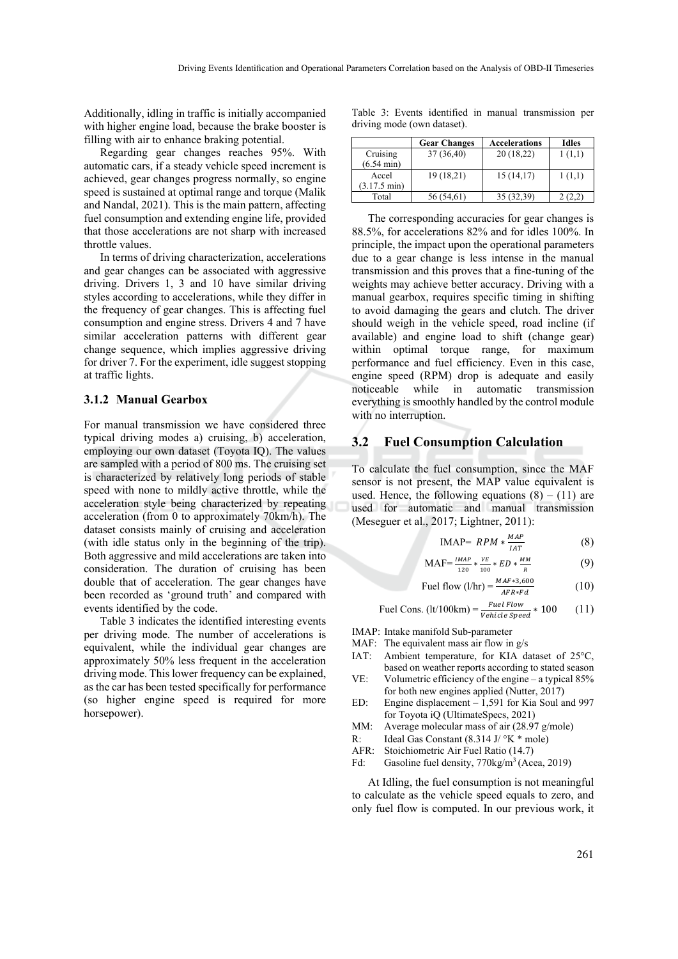Additionally, idling in traffic is initially accompanied with higher engine load, because the brake booster is filling with air to enhance braking potential.

Regarding gear changes reaches 95%. With automatic cars, if a steady vehicle speed increment is achieved, gear changes progress normally, so engine speed is sustained at optimal range and torque (Malik and Nandal, 2021). This is the main pattern, affecting fuel consumption and extending engine life, provided that those accelerations are not sharp with increased throttle values.

In terms of driving characterization, accelerations and gear changes can be associated with aggressive driving. Drivers 1, 3 and 10 have similar driving styles according to accelerations, while they differ in the frequency of gear changes. This is affecting fuel consumption and engine stress. Drivers 4 and 7 have similar acceleration patterns with different gear change sequence, which implies aggressive driving for driver 7. For the experiment, idle suggest stopping at traffic lights.

#### **3.1.2 Manual Gearbox**

For manual transmission we have considered three typical driving modes a) cruising, b) acceleration, employing our own dataset (Toyota IQ). The values are sampled with a period of 800 ms. The cruising set is characterized by relatively long periods of stable speed with none to mildly active throttle, while the acceleration style being characterized by repeating acceleration (from 0 to approximately 70km/h). The dataset consists mainly of cruising and acceleration (with idle status only in the beginning of the trip). Both aggressive and mild accelerations are taken into consideration. Τhe duration of cruising has been double that of acceleration. The gear changes have been recorded as 'ground truth' and compared with events identified by the code.

Table 3 indicates the identified interesting events per driving mode. The number of accelerations is equivalent, while the individual gear changes are approximately 50% less frequent in the acceleration driving mode. This lower frequency can be explained, as the car has been tested specifically for performance (so higher engine speed is required for more horsepower).

Table 3: Events identified in manual transmission per driving mode (own dataset).

|                        | <b>Gear Changes</b> | <b>Accelerations</b> | <b>Idles</b> |
|------------------------|---------------------|----------------------|--------------|
| Cruising               | 37 (36,40)          | 20(18,22)            | 1(1,1)       |
| $(6.54 \text{ min})$   |                     |                      |              |
| Accel                  | 19 (18,21)          | 15(14,17)            | 1(1,1)       |
| $(3.17.5 \text{ min})$ |                     |                      |              |
| Total                  | 56 (54,61)          | 35 (32,39)           |              |

The corresponding accuracies for gear changes is 88.5%, for accelerations 82% and for idles 100%. In principle, the impact upon the operational parameters due to a gear change is less intense in the manual transmission and this proves that a fine-tuning of the weights may achieve better accuracy. Driving with a manual gearbox, requires specific timing in shifting to avoid damaging the gears and clutch. The driver should weigh in the vehicle speed, road incline (if available) and engine load to shift (change gear) within optimal torque range, for maximum performance and fuel efficiency. Even in this case, engine speed (RPM) drop is adequate and easily noticeable while in automatic transmission everything is smoothly handled by the control module with no interruption.

## **3.2 Fuel Consumption Calculation**

To calculate the fuel consumption, since the MAF sensor is not present, the MAP value equivalent is used. Hence, the following equations  $(8) - (11)$  are used for automatic and manual transmission (Meseguer et al., 2017; Lightner, 2011):

$$
IMAP = RPM * \frac{MAP}{IAT}
$$
 (8)

$$
MAF = \frac{IMAP}{120} * \frac{VE}{100} * ED * \frac{MM}{R}
$$
 (9)

$$
\text{Fuel flow (1/hr)} = \frac{MAF * 3,600}{AFR * Fd} \tag{10}
$$

$$
Full Cons. (It/100km) = \frac{Fuel Flow}{Vehicle Speed} * 100 \qquad (11)
$$

IMAP: Intake manifold Sub-parameter

- MAF: The equivalent mass air flow in  $g/s$
- IAT: Ambient temperature, for KIA dataset of 25°C, based on weather reports according to stated season
- VE: Volumetric efficiency of the engine a typical 85% for both new engines applied (Nutter, 2017)
- ED: Engine displacement 1,591 for Kia Soul and 997 for Toyota iQ (UltimateSpecs, 2021)
- MM: Average molecular mass of air (28.97 g/mole)
- R: Ideal Gas Constant  $(8.314 \text{ J} / {}^{\circ}\text{K} {}^* \text{ mole})$
- AFR: Stoichiometric Air Fuel Ratio (14.7)
- Fd: Gasoline fuel density, 770kg/m<sup>3</sup> (Acea, 2019)

At Idling, the fuel consumption is not meaningful to calculate as the vehicle speed equals to zero, and only fuel flow is computed. In our previous work, it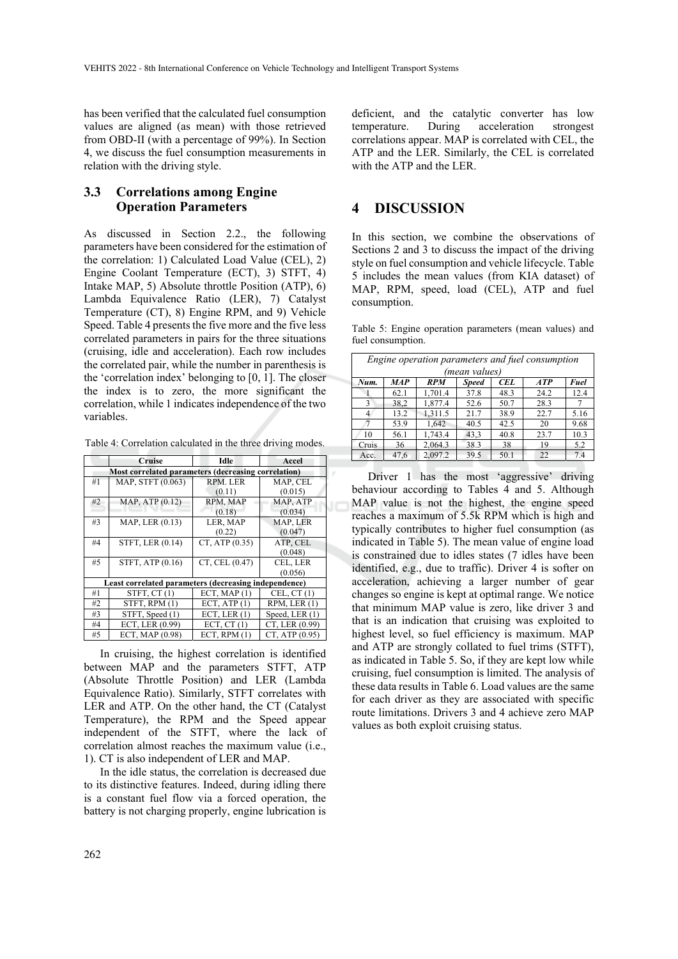has been verified that the calculated fuel consumption values are aligned (as mean) with those retrieved from OBD-II (with a percentage of 99%). In Section 4, we discuss the fuel consumption measurements in relation with the driving style.

## **3.3 Correlations among Engine Operation Parameters**

As discussed in Section 2.2., the following parameters have been considered for the estimation of the correlation: 1) Calculated Load Value (CEL), 2) Engine Coolant Temperature (ECT), 3) STFT, 4) Intake MAP, 5) Absolute throttle Position (ATP), 6) Lambda Equivalence Ratio (LER), 7) Catalyst Temperature (CT), 8) Engine RPM, and 9) Vehicle Speed. Table 4 presents the five more and the five less correlated parameters in pairs for the three situations (cruising, idle and acceleration). Each row includes the correlated pair, while the number in parenthesis is the 'correlation index' belonging to [0, 1]. The closer the index is to zero, the more significant the correlation, while 1 indicates independence of the two variables.

Table 4: Correlation calculated in the three driving modes.

|    | Cruise                                                | Idle           | Accel          |  |  |  |  |
|----|-------------------------------------------------------|----------------|----------------|--|--|--|--|
|    | Most correlated parameters (decreasing correlation)   |                |                |  |  |  |  |
| #1 | MAP, STFT (0.063)                                     | RPM. LER       | MAP, CEL       |  |  |  |  |
|    |                                                       | (0.11)         | (0.015)        |  |  |  |  |
| #2 | MAP, ATP (0.12)                                       | RPM. MAP       | MAP, ATP       |  |  |  |  |
|    |                                                       | (0.18)         | (0.034)        |  |  |  |  |
| #3 | MAP, LER (0.13)                                       | LER, MAP       | MAP, LER       |  |  |  |  |
|    |                                                       | (0.22)         | (0.047)        |  |  |  |  |
| #4 | STFT, LER (0.14)                                      | CT, ATP(0.35)  | ATP, CEL       |  |  |  |  |
|    |                                                       |                | (0.048)        |  |  |  |  |
| #5 | STFT, ATP (0.16)                                      | CT, CEL (0.47) | CEL, LER       |  |  |  |  |
|    |                                                       |                | (0.056)        |  |  |  |  |
|    | Least correlated parameters (decreasing independence) |                |                |  |  |  |  |
| #1 | STFT, CT(1)                                           | ECT, MAP(1)    | CEL, CT(1)     |  |  |  |  |
| #2 | STFT, RPM (1)                                         | ECT, ATP $(1)$ | RPM, LER(1)    |  |  |  |  |
| #3 | STFT, Speed (1)                                       | ECT, LER $(1)$ | Speed, LER(1)  |  |  |  |  |
| #4 | ECT, LER (0.99)                                       | ECT, $CT(1)$   | CT, LER (0.99) |  |  |  |  |
| #5 | ECT, MAP (0.98)                                       | ECT. RPM $(1)$ | CT, ATP (0.95) |  |  |  |  |

In cruising, the highest correlation is identified between MAP and the parameters STFT, ATP (Absolute Throttle Position) and LER (Lambda Equivalence Ratio). Similarly, STFT correlates with LER and ATP. On the other hand, the CT (Catalyst Temperature), the RPM and the Speed appear independent of the STFT, where the lack of correlation almost reaches the maximum value (i.e., 1). CT is also independent of LER and MAP.

In the idle status, the correlation is decreased due to its distinctive features. Indeed, during idling there is a constant fuel flow via a forced operation, the battery is not charging properly, engine lubrication is

deficient, and the catalytic converter has low temperature. During acceleration strongest correlations appear. MAP is correlated with CEL, the ATP and the LER. Similarly, the CEL is correlated with the ATP and the LER.

# **4 DISCUSSION**

In this section, we combine the observations of Sections 2 and 3 to discuss the impact of the driving style on fuel consumption and vehicle lifecycle. Table 5 includes the mean values (from KIA dataset) of MAP, RPM, speed, load (CEL), ATP and fuel consumption.

Table 5: Engine operation parameters (mean values) and fuel consumption.

|       | Engine operation parameters and fuel consumption |            |              |            |            |      |  |  |
|-------|--------------------------------------------------|------------|--------------|------------|------------|------|--|--|
|       | (mean values)                                    |            |              |            |            |      |  |  |
| Num.  | <b>MAP</b>                                       | <b>RPM</b> | <b>Speed</b> | <b>CEL</b> | <b>ATP</b> | Fuel |  |  |
|       | 62.1                                             | 1,701.4    | 37.8         | 48.3       | 24.2       | 12.4 |  |  |
| 3     | 38,2                                             | 1,877.4    | 52.6         | 50.7       | 28.3       |      |  |  |
| 4     | 13.2                                             | 1.311.5    | 21.7         | 38.9       | 22.7       | 5.16 |  |  |
|       | 53.9                                             | 1.642      | 40.5         | 42.5       | 20         | 9.68 |  |  |
| 10    | 56.1                                             | 1,743.4    | 43,3         | 40.8       | 23.7       | 10.3 |  |  |
| Cruis | 36                                               | 2,064.3    | 38.3         | 38         | 19         | 5.2  |  |  |
| Acc.  | 47.6                                             | 2,097.2    | 39.5         | 50.1       | 22         | 7.4  |  |  |

Driver 1 has the most 'aggressive' driving behaviour according to Tables 4 and 5. Although MAP value is not the highest, the engine speed reaches a maximum of 5.5k RPM which is high and typically contributes to higher fuel consumption (as indicated in Table 5). The mean value of engine load is constrained due to idles states (7 idles have been identified, e.g., due to traffic). Driver 4 is softer on acceleration, achieving a larger number of gear changes so engine is kept at optimal range. We notice that minimum MAP value is zero, like driver 3 and that is an indication that cruising was exploited to highest level, so fuel efficiency is maximum. MAP and ATP are strongly collated to fuel trims (STFT), as indicated in Table 5. So, if they are kept low while cruising, fuel consumption is limited. The analysis of these data results in Table 6. Load values are the same for each driver as they are associated with specific route limitations. Drivers 3 and 4 achieve zero MAP values as both exploit cruising status.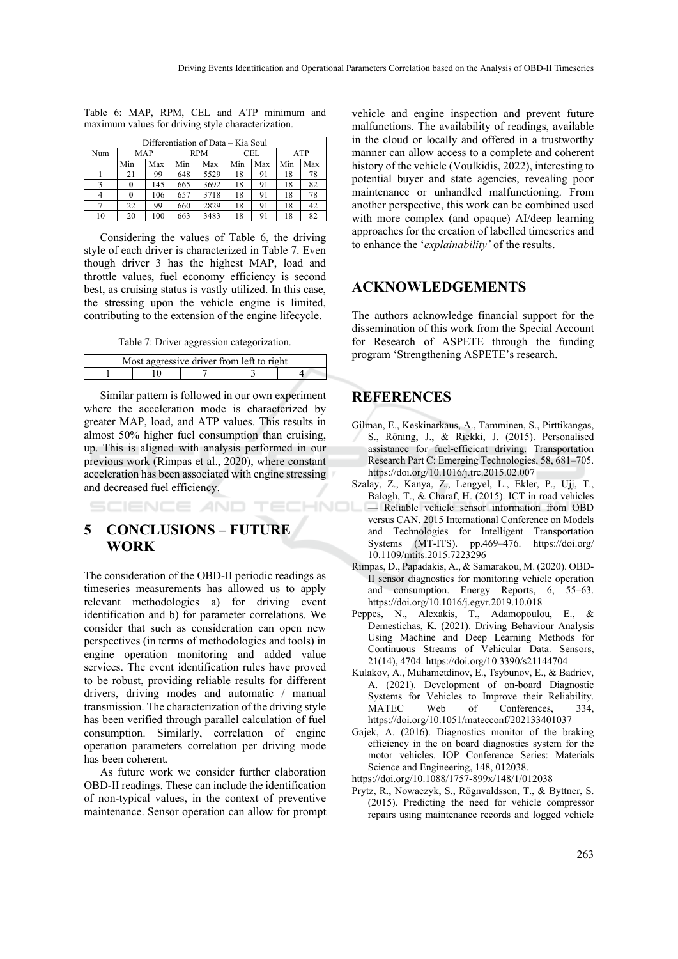|     | Differentiation of Data – Kia Soul |     |            |      |     |     |            |     |
|-----|------------------------------------|-----|------------|------|-----|-----|------------|-----|
| Num | <b>MAP</b>                         |     | <b>RPM</b> |      | CEL |     | <b>ATP</b> |     |
|     | Min                                | Max | Min        | Max  | Min | Max | Min        | Max |
|     | 21                                 | 99  | 648        | 5529 | 18  | 91  | 18         | 78  |
|     |                                    | 145 | 665        | 3692 | 18  | 91  | 18         | 82  |
|     |                                    | 106 | 657        | 3718 | 18  | 91  | 18         | 78  |
|     | 22                                 | 99  | 660        | 2829 | 18  | 91  | 18         | 42  |
| 10  | 20                                 | 100 | 663        | 3483 | 18  | 91  | 18         | 82  |

Table 6: MAP, RPM, CEL and ATP minimum and maximum values for driving style characterization.

Considering the values of Table 6, the driving style of each driver is characterized in Table 7. Even though driver 3 has the highest MAP, load and throttle values, fuel economy efficiency is second best, as cruising status is vastly utilized. In this case, the stressing upon the vehicle engine is limited, contributing to the extension of the engine lifecycle.

Table 7: Driver aggression categorization.

| Most aggressive driver from left to right |  |  |  |  |  |
|-------------------------------------------|--|--|--|--|--|
|                                           |  |  |  |  |  |

Similar pattern is followed in our own experiment where the acceleration mode is characterized by greater MAP, load, and ATP values. This results in almost 50% higher fuel consumption than cruising, up. This is aligned with analysis performed in our previous work (Rimpas et al., 2020), where constant acceleration has been associated with engine stressing and decreased fuel efficiency.

HNG SCIENCE *A*ND TE(

# **5 CONCLUSIONS – FUTURE WORK**

The consideration of the OBD-II periodic readings as timeseries measurements has allowed us to apply relevant methodologies a) for driving event identification and b) for parameter correlations. We consider that such as consideration can open new perspectives (in terms of methodologies and tools) in engine operation monitoring and added value services. The event identification rules have proved to be robust, providing reliable results for different drivers, driving modes and automatic / manual transmission. The characterization of the driving style has been verified through parallel calculation of fuel consumption. Similarly, correlation of engine operation parameters correlation per driving mode has been coherent.

As future work we consider further elaboration OBD-II readings. These can include the identification of non-typical values, in the context of preventive maintenance. Sensor operation can allow for prompt

vehicle and engine inspection and prevent future malfunctions. The availability of readings, available in the cloud or locally and offered in a trustworthy manner can allow access to a complete and coherent history of the vehicle (Voulkidis, 2022), interesting to potential buyer and state agencies, revealing poor maintenance or unhandled malfunctioning. From another perspective, this work can be combined used with more complex (and opaque) AI/deep learning approaches for the creation of labelled timeseries and to enhance the '*explainability'* of the results.

# **ACKNOWLEDGEMENTS**

The authors acknowledge financial support for the dissemination of this work from the Special Account for Research of ASPETE through the funding program 'Strengthening ASPETE's research.

# **REFERENCES**

- Gilman, E., Keskinarkaus, A., Tamminen, S., Pirttikangas, S., Röning, J., & Riekki, J. (2015). Personalised assistance for fuel-efficient driving. Transportation Research Part C: Emerging Technologies, 58, 681–705. https://doi.org/10.1016/j.trc.2015.02.007
- Szalay, Z., Kanya, Z., Lengyel, L., Ekler, P., Ujj, T., Balogh, T., & Charaf, H. (2015). ICT in road vehicles — Reliable vehicle sensor information from OBD versus CAN. 2015 International Conference on Models and Technologies for Intelligent Transportation Systems (MT-ITS). pp.469–476. https://doi.org/ 10.1109/mtits.2015.7223296
- Rimpas, D., Papadakis, A., & Samarakou, M. (2020). OBD-II sensor diagnostics for monitoring vehicle operation and consumption. Energy Reports, 6, 55–63. https://doi.org/10.1016/j.egyr.2019.10.018
- Peppes, N., Alexakis, T., Adamopoulou, E., & Demestichas, K. (2021). Driving Behaviour Analysis Using Machine and Deep Learning Methods for Continuous Streams of Vehicular Data. Sensors, 21(14), 4704. https://doi.org/10.3390/s21144704
- Kulakov, A., Muhametdinov, E., Tsybunov, E., & Badriev, A. (2021). Development of on-board Diagnostic Systems for Vehicles to Improve their Reliability. MATEC Web of Conferences, 334, https://doi.org/10.1051/matecconf/202133401037
- Gajek, A. (2016). Diagnostics monitor of the braking efficiency in the on board diagnostics system for the motor vehicles. IOP Conference Series: Materials Science and Engineering, 148, 012038.
- https://doi.org/10.1088/1757-899x/148/1/012038
- Prytz, R., Nowaczyk, S., Rögnvaldsson, T., & Byttner, S. (2015). Predicting the need for vehicle compressor repairs using maintenance records and logged vehicle